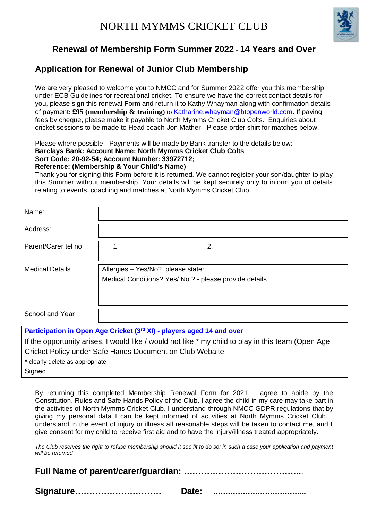

## **Renewal of Membership Form Summer 2022** - **14 Years and Over**

## **Application for Renewal of Junior Club Membership**

We are very pleased to welcome you to NMCC and for Summer 2022 offer you this membership under ECB Guidelines for recreational cricket. To ensure we have the correct contact details for you, please sign this renewal Form and return it to Kathy Whayman along with confirmation details of payment: **£95 (membership & training)** to [Katharine.whayman@btopenworld.com.](mailto:Katharine.whayman@btopenworld.com) If paying fees by cheque, please make it payable to North Mymms Cricket Club Colts. Enquiries about cricket sessions to be made to Head coach Jon Mather - Please order shirt for matches below.

Please where possible - Payments will be made by Bank transfer to the details below: **Barclays Bank: Account Name: North Mymms Cricket Club Colts** 

#### **Sort Code: 20-92-54; Account Number: 33972712;**

#### **Reference: (Membership & Your Child's Name)**

Thank you for signing this Form before it is returned. We cannot register your son/daughter to play this Summer without membership. Your details will be kept securely only to inform you of details relating to events, coaching and matches at North Mymms Cricket Club.

| Name:                                                                 |                                                                                             |  |
|-----------------------------------------------------------------------|---------------------------------------------------------------------------------------------|--|
| Address:                                                              |                                                                                             |  |
| Parent/Carer tel no:                                                  | 2.<br>1.                                                                                    |  |
| <b>Medical Details</b>                                                | Allergies - Yes/No? please state:<br>Medical Conditions? Yes/ No ? - please provide details |  |
| School and Year                                                       |                                                                                             |  |
| Participation in Open Age Cricket (3rd XI) - players aged 14 and over |                                                                                             |  |

If the opportunity arises, I would like / would not like \* my child to play in this team (Open Age Cricket Policy under Safe Hands Document on Club Webaite

\* clearly delete as appropriate

Signed………………………………………………………………………………………………………………

By returning this completed Membership Renewal Form for 2021, I agree to abide by the Constitution, Rules and Safe Hands Policy of the Club. I agree the child in my care may take part in the activities of North Mymms Cricket Club. I understand through NMCC GDPR regulations that by giving my personal data I can be kept informed of activities at North Mymms Cricket Club. I understand in the event of injury or illness all reasonable steps will be taken to contact me, and I give consent for my child to receive first aid and to have the injury/illness treated appropriately.

*The Club reserves the right to refuse membership should it see fit to do so: in such a case your application and payment will be returned* 

**Full Name of parent/carer/guardian: …………………………………..**.

| Signature<br>Date: |  |
|--------------------|--|
|--------------------|--|